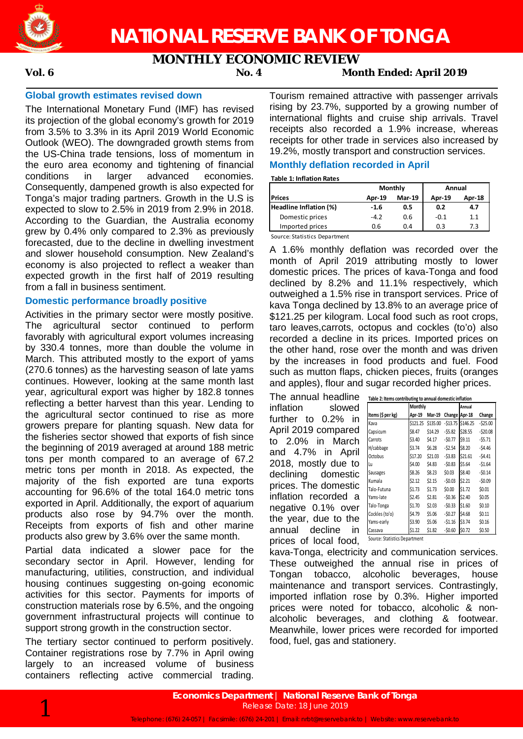

## **MONTHLY ECONOMIC REVIEW**

### **Vol. 6 No. 4 Month Ended: April 2019**

#### **Global growth estimates revised down**

The International Monetary Fund (IMF) has revised its projection of the global economy's growth for 2019 from 3.5% to 3.3% in its April 2019 World Economic Outlook (WEO). The downgraded growth stems from the US-China trade tensions, loss of momentum in the euro area economy and tightening of financial conditions in larger advanced economies. Consequently, dampened growth is also expected for Tonga's major trading partners. Growth in the U.S is expected to slow to 2.5% in 2019 from 2.9% in 2018. According to the Guardian, the Australia economy grew by 0.4% only compared to 2.3% as previously forecasted, due to the decline in dwelling investment and slower household consumption. New Zealand's economy is also projected to reflect a weaker than expected growth in the first half of 2019 resulting from a fall in business sentiment.

#### **Domestic performance broadly positive**

Activities in the primary sector were mostly positive. The agricultural sector continued to perform favorably with agricultural export volumes increasing by 330.4 tonnes, more than double the volume in March. This attributed mostly to the export of yams (270.6 tonnes) as the harvesting season of late yams continues. However, looking at the same month last year, agricultural export was higher by 182.8 tonnes reflecting a better harvest than this year. Lending to the agricultural sector continued to rise as more growers prepare for planting squash. New data for the fisheries sector showed that exports of fish since the beginning of 2019 averaged at around 188 metric tons per month compared to an average of 67.2 metric tons per month in 2018. As expected, the majority of the fish exported are tuna exports accounting for 96.6% of the total 164.0 metric tons exported in April. Additionally, the export of aquarium products also rose by 94.7% over the month. Receipts from exports of fish and other marine products also grew by 3.6% over the same month.

Partial data indicated a slower pace for the secondary sector in April. However, lending for manufacturing, utilities, construction, and individual housing continues suggesting on-going economic activities for this sector. Payments for imports of construction materials rose by 6.5%, and the ongoing government infrastructural projects will continue to support strong growth in the construction sector.

The tertiary sector continued to perform positively. Container registrations rose by 7.7% in April owing largely to an increased volume of business containers reflecting active commercial trading.

Tourism remained attractive with passenger arrivals rising by 23.7%, supported by a growing number of international flights and cruise ship arrivals. Travel receipts also recorded a 1.9% increase, whereas receipts for other trade in services also increased by 19.2%, mostly transport and construction services.

#### **Monthly deflation recorded in April**

#### **Table 1: Inflation Rates**

|                        |               | Monthly       | Annual |        |  |
|------------------------|---------------|---------------|--------|--------|--|
| <b>Prices</b>          | <b>Apr-19</b> | <b>Mar-19</b> | Apr-19 | Apr-18 |  |
| Headline Inflation (%) | -1.6          | 0.5           | 0.2    | 4.7    |  |
| Domestic prices        | $-4.2$        | 0.6           | $-0.1$ | 1.1    |  |
| Imported prices        | 0.6           | 0.4           | 0.3    | 7.3    |  |

Source: Statistics Department

A 1.6% monthly deflation was recorded over the month of April 2019 attributing mostly to lower domestic prices. The prices of kava-Tonga and food declined by 8.2% and 11.1% respectively, which outweighed a 1.5% rise in transport services. Price of kava Tonga declined by 13.8% to an average price of \$121.25 per kilogram. Local food such as root crops, taro leaves,carrots, octopus and cockles (to'o) also recorded a decline in its prices. Imported prices on the other hand, rose over the month and was driven by the increases in food products and fuel. Food such as mutton flaps, chicken pieces, fruits (oranges and apples), flour and sugar recorded higher prices.

The annual headline inflation slowed further to 0.2% in April 2019 compared to 2.0% in March and 4.7% in April 2018, mostly due to declining domestic prices. The domestic inflation recorded a negative 0.1% over the year, due to the annual decline in prices of local food, Source: Statistics Department

|                   | Monthly  |               | Annual        |                    |           |
|-------------------|----------|---------------|---------------|--------------------|-----------|
| Items (\$ per kg) | Apr-19   | <b>Mar-19</b> | Change Apr-18 |                    | Change    |
| Kava              | \$121.25 | \$135.00      |               | $-513.75$ \$146.25 | $-525.00$ |
| Capsicum          | \$8.47   | \$14.29       | $-55.82$      | \$28.55            | $-520.08$ |
| Carrots           | \$3.40   | \$4.17        | $-50.77$      | \$9.11             | $-55.71$  |
| H/cabbage         | \$3.74   | \$6.28        | $-52.54$      | \$8.20             | $-54.46$  |
| Octobus           | \$17.20  | \$21.03       | $-53.83$      | \$21.61            | $-54.41$  |
| Lu                | \$4.00   | \$4.83        | $-50.83$      | \$5.64             | $-51.64$  |
| Sausages          | \$8.26   | \$8.23        | \$0.03\$      | \$8.40             | $-50.14$  |
| Kumala            | \$2.12   | \$2.15        | $-50.03$      | \$2.21             | $-50.09$  |
| Talo-Futuna       | \$1.73   | \$1.73        | \$0.00        | \$1.72             | \$0.01    |
| Yams-late         | \$2.45   | \$2.81        | $-50.36$      | \$2.40             | \$0.05    |
| Talo-Tonga        | \$1.70   | \$2.03        | $-50.33$      | \$1.60             | \$0.10    |
| Cockles (to'o)    | \$4.79   | \$5.06        | $-50.27$      | \$4.68             | \$0.11    |
| Yams-early        | \$3.90   | \$5.06        | $-51.16$      | \$3.74             | \$0.16    |
| Cassava           | \$1.22   | \$1.82        | $-50.60$      | \$0.72             | \$0.50    |

kava-Tonga, electricity and communication services. These outweighed the annual rise in prices of Tongan tobacco, alcoholic beverages, house maintenance and transport services. Contrastingly, imported inflation rose by 0.3%. Higher imported prices were noted for tobacco, alcoholic & nonalcoholic beverages, and clothing & footwear. Meanwhile, lower prices were recorded for imported food, fuel, gas and stationery.

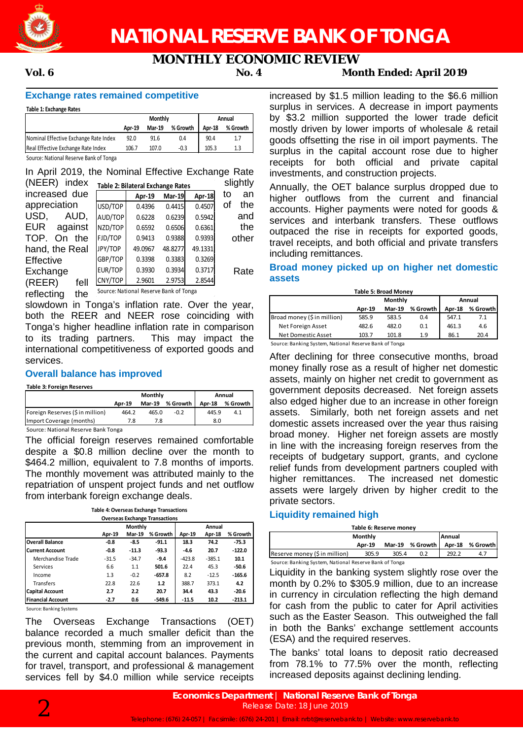

# **MONTHLY ECONOMIC REVIEW**

### **Vol. 6 No. 4 Month Ended: April 2019**

#### **Exchange rates remained competitive**

**Table 1: Exchange Rates**

|                                       |        | <b>Monthly</b> | Annual   |        |          |
|---------------------------------------|--------|----------------|----------|--------|----------|
|                                       | Apr 19 | Mar-19         | % Growth | Apr-18 | % Growth |
| Nominal Effective Exchange Rate Index | 92.0   | 91.6           | 0.4      | 90.4   | 1.7      |
| Real Effective Exchange Rate Index    | 106.7  | 107.0          | -0.3     | 105.3  | 1.3      |
| $\cdots$<br>$\overline{\phantom{a}}$  |        |                |          |        |          |

Source: National Reserve Bank of Tonga

In April 2019, the Nominal Effective Exchange Rate  $(NFER)$  index  $s = 1$ 

| $(IVLLN)$ $IICX$      |         | Table 2: Bilateral Exchange Rates      |               |         | <b>S</b> ilyuuv |       |
|-----------------------|---------|----------------------------------------|---------------|---------|-----------------|-------|
| increased due         |         | Apr-19                                 | <b>Mar-19</b> | Apr-18  | to              | an    |
| appreciation          | USD/TOP | 0.4396                                 | 0.4415        | 0.4507  | οf              | the   |
| USD.<br>AUD.          | AUD/TOP | 0.6228                                 | 0.6239        | 0.5942  |                 | and   |
| <b>EUR</b><br>against | NZD/TOP | 0.6592                                 | 0.6506        | 0.6361  |                 | the   |
| TOP.<br>the<br>On     | FJD/TOP | 0.9413                                 | 0.9388        | 0.9393  |                 | other |
| hand, the Real        | JPY/TOP | 49.0967                                | 48.8277       | 49.1331 |                 |       |
| Effective             | GBP/TOP | 0.3398                                 | 0.3383        | 0.3269  |                 |       |
| Exchange              | EUR/TOP | 0.3930                                 | 0.3934        | 0.3717  |                 | Rate  |
| (REER)<br>fell        | CNY/TOP | 2.9601                                 | 2.9753        | 2.8544  |                 |       |
| reflecting<br>the     |         | Source: National Reserve Bank of Tonga |               |         |                 |       |

slowdown in Tonga's inflation rate. Over the year, both the REER and NEER rose coinciding with Tonga's higher headline inflation rate in comparison to its trading partners. This may impact the international competitiveness of exported goods and services.

#### **Overall balance has improved**

**Table 3: Foreign Reserves**

|                                     | Monthly |               |          | Annual |            |  |
|-------------------------------------|---------|---------------|----------|--------|------------|--|
|                                     | Apr-19  | <b>Mar-19</b> | % Growth | Apr-18 | % Growth I |  |
| Foreign Reserves (\$ in million)    | 464.2   | 465.0         | $-0.2$   | 445.9  | 4.1        |  |
| Import Coverage (months)            |         | 7.8           |          | 8.0    |            |  |
| Cource: National Recense Rank Tonga |         |               |          |        |            |  |

Source: National Reserve Bank Tonga

The official foreign reserves remained comfortable despite a \$0.8 million decline over the month to \$464.2 million, equivalent to 7.8 months of imports. The monthly movement was attributed mainly to the repatriation of unspent project funds and net outflow from interbank foreign exchange deals.

| <b>Table 4: Overseas Exchange Transactions</b> |         |               |          |          |          |          |  |
|------------------------------------------------|---------|---------------|----------|----------|----------|----------|--|
| <b>Overseas Exchange Transactions</b>          |         |               |          |          |          |          |  |
|                                                |         | Monthly       |          |          | Annual   |          |  |
|                                                | Apr-19  | <b>Mar-19</b> | % Growth | Apr-19   | Apr-18   | % Growth |  |
| <b>Overall Balance</b>                         | -0.8    | -8.5          | $-91.1$  | 18.3     | 74.2     | $-75.3$  |  |
| <b>Current Account</b>                         | -0.8    | $-11.3$       | $-93.3$  | -4.6     | 20.7     | $-122.0$ |  |
| Merchandise Trade                              | $-31.5$ | $-34.7$       | $-9.4$   | $-423.8$ | $-385.1$ | 10.1     |  |
| Services                                       | 6.6     | 1.1           | 501.6    | 22.4     | 45.3     | -50.6    |  |
| Income                                         | 1.3     | $-0.2$        | $-657.8$ | 8.2      | $-12.5$  | $-165.6$ |  |
| Transfers                                      | 22.8    | 22.6          | 1.2      | 388.7    | 373.1    | 4.2      |  |
| <b>Capital Account</b>                         | 2.7     | 2.2           | 20.7     | 34.4     | 43.3     | $-20.6$  |  |
| <b>Financial Account</b>                       | $-2.7$  | 0.6           | $-549.6$ | $-11.5$  | 10.2     | $-213.1$ |  |

Source: Banking Systems

The Overseas Exchange Transactions (OET) balance recorded a much smaller deficit than the previous month, stemming from an improvement in the current and capital account balances. Payments for travel, transport, and professional & management services fell by \$4.0 million while service receipts increased by \$1.5 million leading to the \$6.6 million surplus in services. A decrease in import payments by \$3.2 million supported the lower trade deficit mostly driven by lower imports of wholesale & retail goods offsetting the rise in oil import payments. The surplus in the capital account rose due to higher receipts for both official and private capital investments, and construction projects.

Annually, the OET balance surplus dropped due to higher outflows from the current and financial accounts. Higher payments were noted for goods & services and interbank transfers. These outflows outpaced the rise in receipts for exported goods, travel receipts, and both official and private transfers including remittances.

#### **Broad money picked up on higher net domestic assets**

| Table 5: Broad Monev        |        |               |          |               |            |  |  |
|-----------------------------|--------|---------------|----------|---------------|------------|--|--|
|                             |        | Monthly       | Annual   |               |            |  |  |
|                             | Apr-19 | <b>Mar-19</b> | % Growth | <b>Apr-18</b> | % Growth I |  |  |
| Broad money (\$ in million) | 585.9  | 583.5         | 0.4      | 547.1         | 7.1        |  |  |
| Net Foreign Asset           | 482.6  | 482.0         | 0.1      | 461.3         | 4.6        |  |  |
| Net Domestic Asset          | 103.7  | 101.8         | 1.9      | 86.1          | 20.4       |  |  |

Source: Banking System, National Reserve Bank of Tonga

After declining for three consecutive months, broad money finally rose as a result of higher net domestic assets, mainly on higher net credit to government as government deposits decreased. Net foreign assets also edged higher due to an increase in other foreign assets. Similarly, both net foreign assets and net domestic assets increased over the year thus raising broad money. Higher net foreign assets are mostly in line with the increasing foreign reserves from the receipts of budgetary support, grants, and cyclone relief funds from development partners coupled with higher remittances. The increased net domestic assets were largely driven by higher credit to the private sectors.

#### **Liquidity remained high**

| Table 6: Reserve money                                 |        |     |                   |        |          |  |  |
|--------------------------------------------------------|--------|-----|-------------------|--------|----------|--|--|
| Annual<br><b>Monthly</b>                               |        |     |                   |        |          |  |  |
|                                                        | Apr-19 |     | Mar-19 % Growth I | Apr-18 | % Growth |  |  |
| Reserve money (\$ in million)                          | 292.2  | 4.7 |                   |        |          |  |  |
| Source: Banking System, National Reserve Bank of Tonga |        |     |                   |        |          |  |  |

Liquidity in the banking system slightly rose over the month by 0.2% to \$305.9 million, due to an increase in currency in circulation reflecting the high demand for cash from the public to cater for April activities such as the Easter Season. This outweighed the fall in both the Banks' exchange settlement accounts (ESA) and the required reserves.

The banks' total loans to deposit ratio decreased from 78.1% to 77.5% over the month, reflecting increased deposits against declining lending.